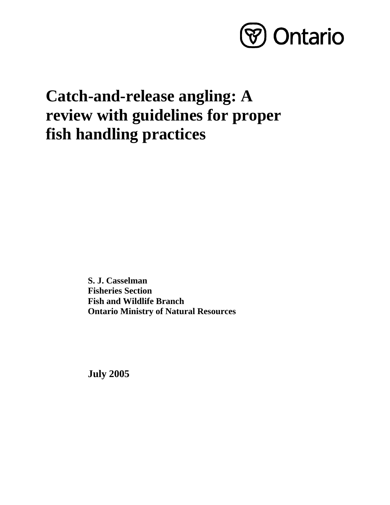

# **Catch-and-release angling: A review with guidelines for proper fish handling practices**

**S. J. Casselman Fisheries Section Fish and Wildlife Branch Ontario Ministry of Natural Resources** 

**July 2005**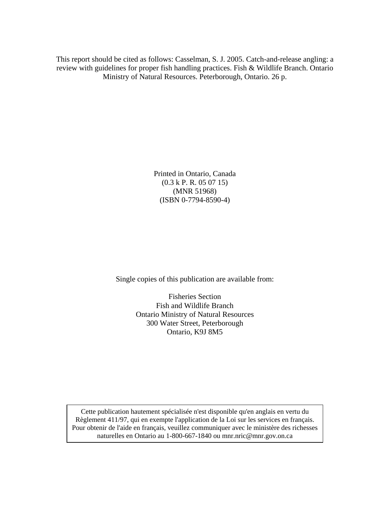This report should be cited as follows: Casselman, S. J. 2005. Catch-and-release angling: a review with guidelines for proper fish handling practices. Fish & Wildlife Branch. Ontario Ministry of Natural Resources. Peterborough, Ontario. 26 p.

> Printed in Ontario, Canada (0.3 k P. R. 05 07 15) (MNR 51968) (ISBN 0-7794-8590-4)

Single copies of this publication are available from:

Fisheries Section Fish and Wildlife Branch Ontario Ministry of Natural Resources 300 Water Street, Peterborough Ontario, K9J 8M5

Cette publication hautement spécialisée n'est disponible qu'en anglais en vertu du Règlement 411/97, qui en exempte l'application de la Loi sur les services en français. Pour obtenir de l'aide en français, veuillez communiquer avec le ministère des richesses naturelles en Ontario au 1-800-667-1840 ou mnr.nric@mnr.gov.on.ca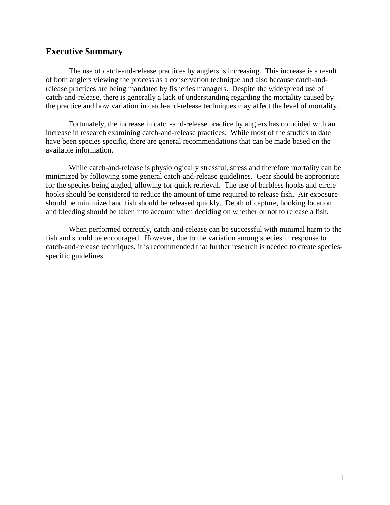# **Executive Summary**

The use of catch-and-release practices by anglers is increasing. This increase is a result of both anglers viewing the process as a conservation technique and also because catch-andrelease practices are being mandated by fisheries managers. Despite the widespread use of catch-and-release, there is generally a lack of understanding regarding the mortality caused by the practice and how variation in catch-and-release techniques may affect the level of mortality.

Fortunately, the increase in catch-and-release practice by anglers has coincided with an increase in research examining catch-and-release practices. While most of the studies to date have been species specific, there are general recommendations that can be made based on the available information.

While catch-and-release is physiologically stressful, stress and therefore mortality can be minimized by following some general catch-and-release guidelines. Gear should be appropriate for the species being angled, allowing for quick retrieval. The use of barbless hooks and circle hooks should be considered to reduce the amount of time required to release fish. Air exposure should be minimized and fish should be released quickly. Depth of capture, hooking location and bleeding should be taken into account when deciding on whether or not to release a fish.

When performed correctly, catch-and-release can be successful with minimal harm to the fish and should be encouraged. However, due to the variation among species in response to catch-and-release techniques, it is recommended that further research is needed to create speciesspecific guidelines.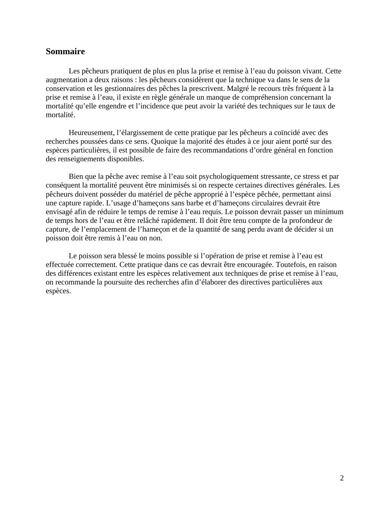# **Sommaire**

Les pêcheurs pratiquent de plus en plus la prise et remise à l'eau du poisson vivant. Cette augmentation a deux raisons : les pêcheurs considèrent que la technique va dans le sens de la conservation et les gestionnaires des pêches la prescrivent. Malgré le recours très fréquent à la prise et remise à l'eau, il existe en règle générale un manque de compréhension concernant la mortalité qu'elle engendre et l'incidence que peut avoir la variété des techniques sur le taux de mortalité.

Heureusement, l'élargissement de cette pratique par les pêcheurs a coïncidé avec des recherches poussées dans ce sens. Quoique la majorité des études à ce jour aient porté sur des espèces particulières, il est possible de faire des recommandations d'ordre général en fonction des renseignements disponibles.

Bien que la pêche avec remise à l'eau soit psychologiquement stressante, ce stress et par conséquent la mortalité peuvent être minimisés si on respecte certaines directives générales. Les pêcheurs doivent posséder du matériel de pêche approprié à l'espèce pêchée, permettant ainsi une capture rapide. L'usage d'hameçons sans barbe et d'hameçons circulaires devrait être envisagé afin de réduire le temps de remise à l'eau requis. Le poisson devrait passer un minimum de temps hors de l'eau et être relâché rapidement. Il doit être tenu compte de la profondeur de capture, de l'emplacement de l'hameçon et de la quantité de sang perdu avant de décider si un poisson doit être remis à l'eau on non.

Le poisson sera blessé le moins possible si l'opération de prise et remise à l'eau est effectuée correctement. Cette pratique dans ce cas devrait être encouragée. Toutefois, en raison des différences existant entre les espèces relativement aux techniques de prise et remise à l'eau, on recommande la poursuite des recherches afin d'élaborer des directives particulières aux espèces.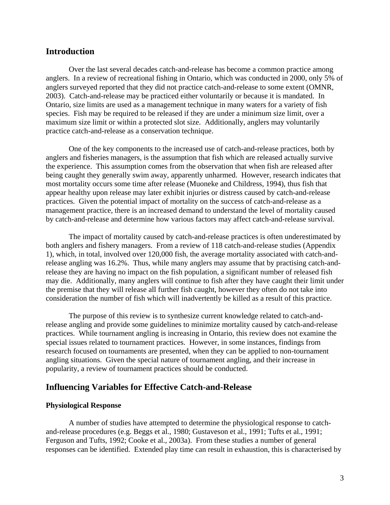# **Introduction**

 Over the last several decades catch-and-release has become a common practice among anglers. In a review of recreational fishing in Ontario, which was conducted in 2000, only 5% of anglers surveyed reported that they did not practice catch-and-release to some extent (OMNR, 2003). Catch-and-release may be practiced either voluntarily or because it is mandated. In Ontario, size limits are used as a management technique in many waters for a variety of fish species. Fish may be required to be released if they are under a minimum size limit, over a maximum size limit or within a protected slot size. Additionally, anglers may voluntarily practice catch-and-release as a conservation technique.

One of the key components to the increased use of catch-and-release practices, both by anglers and fisheries managers, is the assumption that fish which are released actually survive the experience. This assumption comes from the observation that when fish are released after being caught they generally swim away, apparently unharmed. However, research indicates that most mortality occurs some time after release (Muoneke and Childress, 1994), thus fish that appear healthy upon release may later exhibit injuries or distress caused by catch-and-release practices. Given the potential impact of mortality on the success of catch-and-release as a management practice, there is an increased demand to understand the level of mortality caused by catch-and-release and determine how various factors may affect catch-and-release survival.

The impact of mortality caused by catch-and-release practices is often underestimated by both anglers and fishery managers. From a review of 118 catch-and-release studies (Appendix 1), which, in total, involved over 120,000 fish, the average mortality associated with catch-andrelease angling was 16.2%. Thus, while many anglers may assume that by practising catch-andrelease they are having no impact on the fish population, a significant number of released fish may die. Additionally, many anglers will continue to fish after they have caught their limit under the premise that they will release all further fish caught, however they often do not take into consideration the number of fish which will inadvertently be killed as a result of this practice.

The purpose of this review is to synthesize current knowledge related to catch-andrelease angling and provide some guidelines to minimize mortality caused by catch-and-release practices. While tournament angling is increasing in Ontario, this review does not examine the special issues related to tournament practices. However, in some instances, findings from research focused on tournaments are presented, when they can be applied to non-tournament angling situations. Given the special nature of tournament angling, and their increase in popularity, a review of tournament practices should be conducted.

# **Influencing Variables for Effective Catch-and-Release**

#### **Physiological Response**

 A number of studies have attempted to determine the physiological response to catchand-release procedures (e.g. Beggs et al., 1980; Gustaveson et al., 1991; Tufts et al., 1991; Ferguson and Tufts, 1992; Cooke et al., 2003a). From these studies a number of general responses can be identified. Extended play time can result in exhaustion, this is characterised by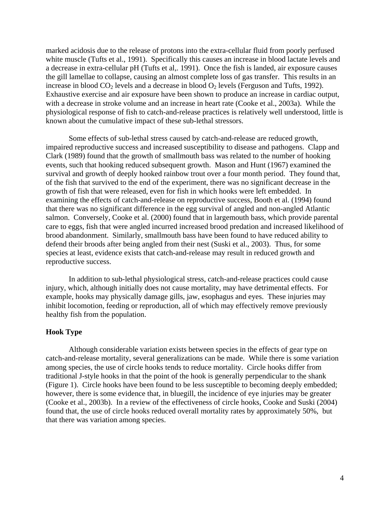marked acidosis due to the release of protons into the extra-cellular fluid from poorly perfused white muscle (Tufts et al., 1991). Specifically this causes an increase in blood lactate levels and a decrease in extra-cellular pH (Tufts et al,. 1991). Once the fish is landed, air exposure causes the gill lamellae to collapse, causing an almost complete loss of gas transfer. This results in an increase in blood  $CO<sub>2</sub>$  levels and a decrease in blood  $O<sub>2</sub>$  levels (Ferguson and Tufts, 1992). Exhaustive exercise and air exposure have been shown to produce an increase in cardiac output, with a decrease in stroke volume and an increase in heart rate (Cooke et al., 2003a). While the physiological response of fish to catch-and-release practices is relatively well understood, little is known about the cumulative impact of these sub-lethal stressors.

 Some effects of sub-lethal stress caused by catch-and-release are reduced growth, impaired reproductive success and increased susceptibility to disease and pathogens. Clapp and Clark (1989) found that the growth of smallmouth bass was related to the number of hooking events, such that hooking reduced subsequent growth. Mason and Hunt (1967) examined the survival and growth of deeply hooked rainbow trout over a four month period. They found that, of the fish that survived to the end of the experiment, there was no significant decrease in the growth of fish that were released, even for fish in which hooks were left embedded. In examining the effects of catch-and-release on reproductive success, Booth et al. (1994) found that there was no significant difference in the egg survival of angled and non-angled Atlantic salmon. Conversely, Cooke et al. (2000) found that in largemouth bass, which provide parental care to eggs, fish that were angled incurred increased brood predation and increased likelihood of brood abandonment. Similarly, smallmouth bass have been found to have reduced ability to defend their broods after being angled from their nest (Suski et al., 2003). Thus, for some species at least, evidence exists that catch-and-release may result in reduced growth and reproductive success.

 In addition to sub-lethal physiological stress, catch-and-release practices could cause injury, which, although initially does not cause mortality, may have detrimental effects. For example, hooks may physically damage gills, jaw, esophagus and eyes. These injuries may inhibit locomotion, feeding or reproduction, all of which may effectively remove previously healthy fish from the population.

#### **Hook Type**

 Although considerable variation exists between species in the effects of gear type on catch-and-release mortality, several generalizations can be made. While there is some variation among species, the use of circle hooks tends to reduce mortality. Circle hooks differ from traditional J-style hooks in that the point of the hook is generally perpendicular to the shank (Figure 1). Circle hooks have been found to be less susceptible to becoming deeply embedded; however, there is some evidence that, in bluegill, the incidence of eye injuries may be greater (Cooke et al., 2003b). In a review of the effectiveness of circle hooks, Cooke and Suski (2004) found that, the use of circle hooks reduced overall mortality rates by approximately 50%, but that there was variation among species.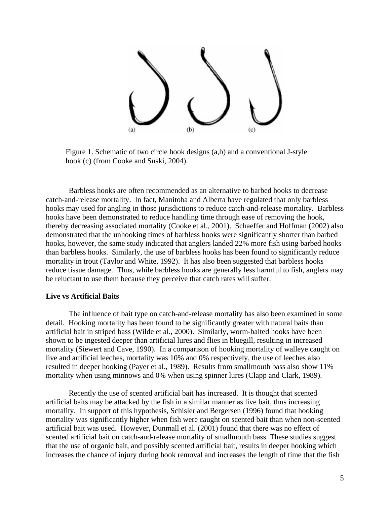

Figure 1. Schematic of two circle hook designs (a,b) and a conventional J-style hook (c) (from Cooke and Suski, 2004).

Barbless hooks are often recommended as an alternative to barbed hooks to decrease catch-and-release mortality. In fact, Manitoba and Alberta have regulated that only barbless hooks may used for angling in those jurisdictions to reduce catch-and-release mortality. Barbless hooks have been demonstrated to reduce handling time through ease of removing the hook, thereby decreasing associated mortality (Cooke et al., 2001). Schaeffer and Hoffman (2002) also demonstrated that the unhooking times of barbless hooks were significantly shorter than barbed hooks, however, the same study indicated that anglers landed 22% more fish using barbed hooks than barbless hooks. Similarly, the use of barbless hooks has been found to significantly reduce mortality in trout (Taylor and White, 1992). It has also been suggested that barbless hooks reduce tissue damage. Thus, while barbless hooks are generally less harmful to fish, anglers may be reluctant to use them because they perceive that catch rates will suffer.

#### **Live vs Artificial Baits**

 The influence of bait type on catch-and-release mortality has also been examined in some detail. Hooking mortality has been found to be significantly greater with natural baits than artificial bait in striped bass (Wilde et al., 2000). Similarly, worm-baited hooks have been shown to be ingested deeper than artificial lures and flies in bluegill, resulting in increased mortality (Siewert and Cave, 1990). In a comparison of hooking mortality of walleye caught on live and artificial leeches, mortality was 10% and 0% respectively, the use of leeches also resulted in deeper hooking (Payer et al., 1989). Results from smallmouth bass also show 11% mortality when using minnows and 0% when using spinner lures (Clapp and Clark, 1989).

Recently the use of scented artificial bait has increased. It is thought that scented artificial baits may be attacked by the fish in a similar manner as live bait, thus increasing mortality. In support of this hypothesis, Schisler and Bergersen (1996) found that hooking mortality was significantly higher when fish were caught on scented bait than when non-scented artificial bait was used. However, Dunmall et al. (2001) found that there was no effect of scented artificial bait on catch-and-release mortality of smallmouth bass. These studies suggest that the use of organic bait, and possibly scented artificial bait, results in deeper hooking which increases the chance of injury during hook removal and increases the length of time that the fish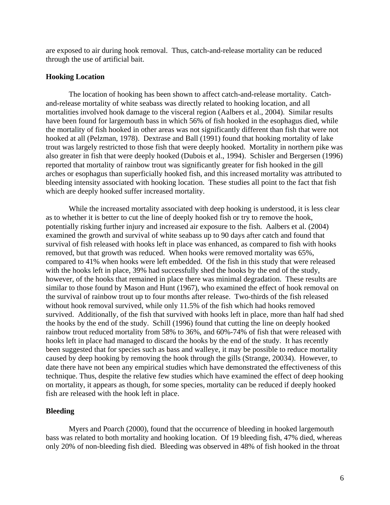are exposed to air during hook removal. Thus, catch-and-release mortality can be reduced through the use of artificial bait.

#### **Hooking Location**

The location of hooking has been shown to affect catch-and-release mortality. Catchmortalities involved hook damage to the visceral region (Aalbers et al., 2004). Similar results trout was largely restricted to those fish that were deeply hooked. Mortality in northern pike was arches or esophagus than superficially hooked fish, and this increased mortality was attributed to and-release mortality of white seabass was directly related to hooking location, and all have been found for largemouth bass in which 56% of fish hooked in the esophagus died, while the mortality of fish hooked in other areas was not significantly different than fish that were not hooked at all (Pelzman, 1978). Dextrase and Ball (1991) found that hooking mortality of lake also greater in fish that were deeply hooked (Dubois et al., 1994). Schisler and Bergersen (1996) reported that mortality of rainbow trout was significantly greater for fish hooked in the gill bleeding intensity associated with hooking location. These studies all point to the fact that fish which are deeply hooked suffer increased mortality.

While the increased mortality associated with deep hooking is understood, it is less clear as to w hether it is better to cut the line of deeply hooked fish or try to remove the hook, potentially risking further injury and increased air exposure to the fish. Aalbers et al. (2004) survival of fish released with hooks left in place was enhanced, as compared to fish with hooks compared to 41% when hooks were left embedded. Of the fish in this study that were released however, of the hooks that remained in place there was minimal degradation. These results are survived. Additionally, of the fish that survived with hooks left in place, more than half had shed rainbow trout reduced mortality from 58% to 36%, and 60%-74% of fish that were released with been suggested that for species such as bass and walleye, it may be possible to reduce mortality examined the growth and survival of white seabass up to 90 days after catch and found that removed, but that growth was reduced. When hooks were removed mortality was 65%, with the hooks left in place, 39% had successfully shed the hooks by the end of the study, similar to those found by Mason and Hunt (1967), who examined the effect of hook removal on the survival of rainbow trout up to four months after release. Two-thirds of the fish released without hook removal survived, while only 11.5% of the fish which had hooks removed the hooks by the end of the study. Schill (1996) found that cutting the line on deeply hooked hooks left in place had managed to discard the hooks by the end of the study. It has recently caused by deep hooking by removing the hook through the gills (Strange, 20034). However, to date there have not been any empirical studies which have demonstrated the effectiveness of this technique. Thus, despite the relative few studies which have examined the effect of deep hooking on mortality, it appears as though, for some species, mortality can be reduced if deeply hooked fish are released with the hook left in place.

#### **B**leeding

Myers and Poarch (2000), found that the occurrence of bleeding in hooked largemouth bass was related to both mortality and hooking location. Of 19 bleeding fish, 47% died, whereas only 20% of non-bleeding fish died. Bleeding was observed in 48% of fish hooked in the throat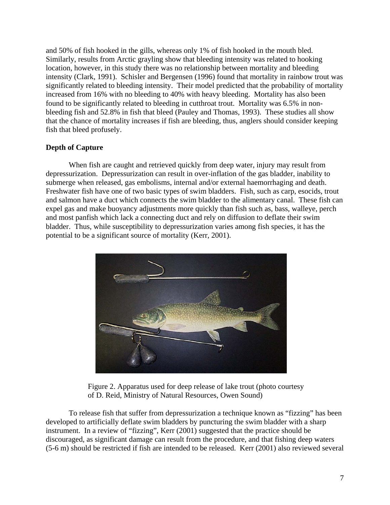and 50% of fish hooked in the gills, whereas only 1% of fish hooked in the mouth bled. Similarly, results from Arctic grayling show that bleeding intensity was related to hookin g location, however, in this study there was no relationship between mortality and bleeding intensity (Clark, 1991). Schisler and Bergensen (1996) found that mortality in rainbow trout was significantly related to bleeding intensity. Their model predicted that the probability of mortality increased from 16% with no bleeding to 40% with heavy bleeding. Mortality has also been found to be significantly related to bleeding in cutthroat trout. Mortality was 6.5% in nonbleeding fish and 52.8% in fish that bleed (Pauley and Thomas, 1993). These studies all sh ow that the chance of mortality increases if fish are bleeding, thus, anglers should consider keeping fish that bleed profusely.

## **Depth of Capture**

When fish are caught and retrieved quickly from deep water, injury may result from Freshwater fish have one of two basic types of swim bladders. Fish, such as carp, esocids, trout depressurization. Depressurization can result in over-inflation of the gas bladder, inability to submerge when released, gas embolisms, internal and/or external haemorrhaging and death. and salmon have a duct which connects the swim bladder to the alimentary canal. These fish can expel gas and make buoyancy adjustments more quickly than fish such as, bass, walleye, perch and most panfish which lack a connecting duct and rely on diffusion to deflate their swim bladder. Thus, while susceptibility to depressurization varies among fish species, it has the potential to be a significant source of mortality (Kerr, 2001).



Figure 2. Apparatus used for deep release of lake trout (photo courtesy of D. Reid, Ministry of Natural Resources, Owen Sound)

To release fish that suffer from depressurization a technique known as "fizzing" has been develop ed to artificially deflate swim bladders by puncturing the swim bladder with a sharp discouraged, as significant damage can result from the procedure, and that fishing deep waters  $(5-6 \text{ m})$  should be restricted if fish are intended to be released. Kerr (2001) also reviewed several instrument. In a review of "fizzing", Kerr (2001) suggested that the practice should be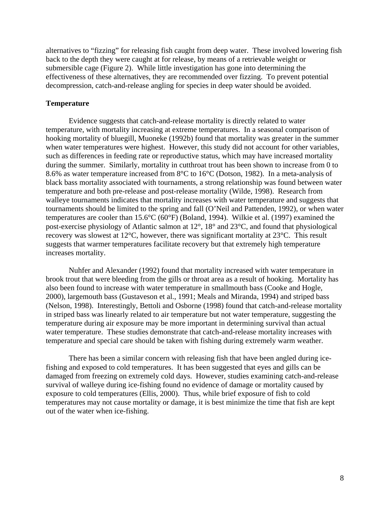alternatives to "fizzing" for releasing fish caught from deep water. These involved lowering fish back to the depth they were caught at for release, by means of a retrievable weight or submersible cage (Figure 2). While little investigation has gone into determining the effectiveness of these alternatives, they are recommended over fizzing. To prevent potential decompression, catch-and-release angling for species in deep water should be avoided.

#### **Temperature**

Evidence suggests that catch-and-release mortality is directly related to water temperature, with mortality increasing at extreme temperatures. In a seasonal comparison of hooking mortality of bluegill, Muoneke (1992b) found that mortality was greater in the summer black bass mortality associated with tournaments, a strong relationship was found between water walleye tournaments indicates that mortality increases with water temperature and suggests that when water temperatures were highest. However, this study did not account for other variables, such as differences in feeding rate or reproductive status, which may have increased mortality during the summer. Similarly, mortality in cutthroat trout has been shown to increase from 0 to 8.6% as water temperature increased from 8°C to 16°C (Dotson, 1982). In a meta-analysis of temperature and both pre-release and post-release mortality (Wilde, 1998). Research from tournaments should be limited to the spring and fall (O'Neil and Pattenden, 1992), or when water temperatures are cooler than 15.6°C (60°F) (Boland, 1994). Wilkie et al. (1997) examined the post-exercise physiology of Atlantic salmon at 12°, 18° and 23°C, and found that physiological recovery was slowest at 12°C, however, there was significant mortality at 23°C. This result suggests that warmer temperatures facilitate recovery but that extremely high temperature increases mortality.

Nuhfer and Alexander (1992) found that mortality increased with water temperature in brook t rout that were bleeding from the gills or throat area as a result of hooking. Mortality has 2000), largemouth bass (Gustaveson et al., 1991; Meals and Miranda, 1994) and striped bass (Nelson, 1998). Interestingly, Bettoli and Osborne (1998) found that catch-and-release mortality also been found to increase with water temperature in smallmouth bass (Cooke and Hogle, in striped bass was linearly related to air temperature but not water temperature, suggesting the temperature during air exposure may be more important in determining survival than actual water temperature. These studies demonstrate that catch-and-release mortality increases with temperature and special care should be taken with fishing during extremely warm weather.

There has been a similar concern with releasing fish that have been angled during icefishing and exposed to cold temperatures. It has been suggested that eyes and gills can be damaged from freezing on extremely cold days. However, studies examining catch-and-release temperatures may not cause mortality or damage, it is best minimize the time that fish are kept survival of walleye during ice-fishing found no evidence of damage or mortality caused by exposure to cold temperatures (Ellis, 2000). Thus, while brief exposure of fish to cold out of the water when ice-fishing.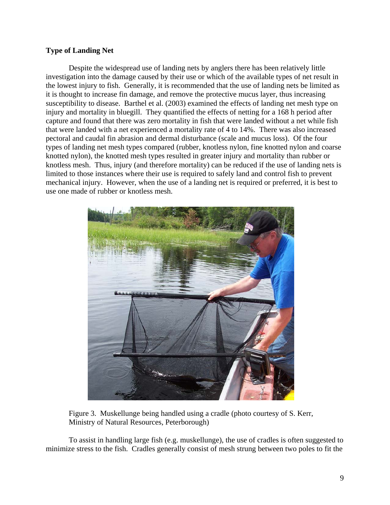## **Type of Landing Net**

Despite the widespread use of landing nets by anglers there has been relatively little investigation into the damage caused by their use or which of the available types of net result in susceptibility to disease. Barthel et al. (2003) examined the effects of landing net mesh type on types of landing net mesh types compared (rubber, knotless nylon, fine knotted nylon and coarse knotless mesh. Thus, injury (and therefore mortality) can be reduced if the use of landing nets is the lowest injury to fish. Generally, it is recommended that the use of landing nets be limited as it is thought to increase fin damage, and remove the protective mucus layer, thus increasing injury and mortality in bluegill. They quantified the effects of netting for a 168 h period after capture and found that there was zero mortality in fish that were landed without a net while fish that were landed with a net experienced a mortality rate of 4 to 14%. There was also increased pectoral and caudal fin abrasion and dermal disturbance (scale and mucus loss). Of the four knotted nylon), the knotted mesh types resulted in greater injury and mortality than rubber or limited to those instances where their use is required to safely land and control fish to prevent mechanical injury. However, when the use of a landing net is required or preferred, it is best to use one made of rubber or knotless mesh.



Figure 3. Muskellunge being handled using a cradle (photo courtesy of S. Kerr, Ministry of Natural Resources, Peterborough)

To assist in handling large fish (e.g. muskellunge), the use of cradles is often suggested to minimize stress to the fish. Cradles generally consist of mesh strung between two poles to fit the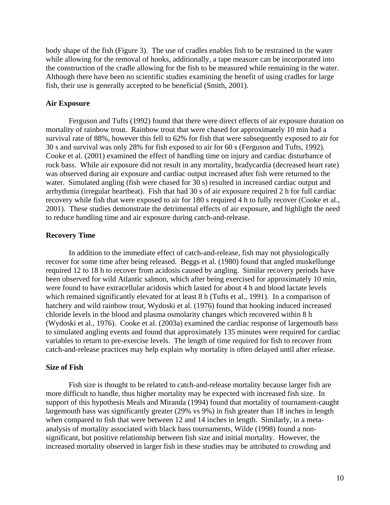body sh ape of the fish (Figure 3). The use of cradles enables fish to be restrained in the water while allowing for the removal of hooks, additionally, a tape measure can be incorporated into the construction of the cradle allowing for the fish to be measured while remaining in the water. Although there have been no scientific studies examining the benefit of using cradles for large fish, their use is generally accepted to be beneficial (Smith, 2001).

#### **Air Exposure**

Ferguson and Tufts (1992) found that there were direct effects of air exposure duration on mortality of rainbow trout. Rainbow trout that were chased for approximately 10 min had a surviva l rate of 88%, however this fell to 62% for fish that were subsequently exposed to air for rock bass. While air exposure did not result in any mortality, bradycardia (decreased heart rate) recovery while fish that were exposed to air for 180 s required 4 h to fully recover (Cooke et al., 30 s and survival was only 28% for fish exposed to air for 60 s (Ferguson and Tufts, 1992). Cooke et al. (2001) examined the effect of handling time on injury and cardiac disturbance of was observed during air exposure and cardiac output increased after fish were returned to the water. Simulated angling (fish were chased for 30 s) resulted in increased cardiac output and arrhythmia (irregular heartbeat). Fish that had 30 s of air exposure required 2 h for full cardiac 2001). These studies demonstrate the detrimental effects of air exposure, and highlight the need to reduce handling time and air exposure during catch-and-release.

#### **Recovery Time**

In addition to the immediate effect of catch-and-release, fish may not physiologically recover for some time after being released. Beggs et al. (1980) found that angled muskellunge require d 12 to 18 h to recover from acidosis caused by angling. Similar recovery periods have (Wydoski et al., 1976). Cooke et al. (2003a) examined the cardiac response of largemouth bass to simulated angling events and found that approximately 135 minutes were required for cardiac been observed for wild Atlantic salmon, which after being exercised for approximately 10 min, were found to have extracellular acidosis which lasted for about 4 h and blood lactate levels which remained significantly elevated for at least 8 h (Tufts et al., 1991). In a comparison of hatchery and wild rainbow trout, Wydoski et al. (1976) found that hooking induced increased chloride levels in the blood and plasma osmolarity changes which recovered within 8 h variables to return to pre-exercise levels. The length of time required for fish to recover from catch-and-release practices may help explain why mortality is often delayed until after release.

#### **Size of Fish**

Fish size is thought to be related to catch-and-release mortality because larger fish are more difficult to handle, thus higher mortality may be expected with increased fish size. In support of this hypothesis Meals and Miranda (1994) found that mortality of tournament-caught largemouth bass was significantly greater (29% vs 9%) in fish greater than 18 inches in length increased mortality observed in larger fish in these studies may be attributed to crowding and when compared to fish that were between 12 and 14 inches in length. Similarly, in a metaanalysis of mortality associated with black bass tournaments, Wilde (1998) found a nonsignificant, but positive relationship between fish size and initial mortality. However, the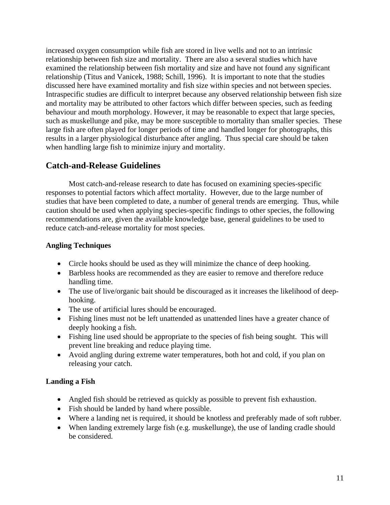increased oxygen consumption while fish are stored in live wells and not to an intrinsic relationship between fish size and mortality. There are also a several studies which have examined the relationship between fish mortality and size and have not found any signifi cant relationship (Titus and Vanicek, 1988; Schill, 1996). It is important to note that the studie s discussed here have examined mortality and fish size within species and not between species. Intraspecific studies are difficult to interpret because any observed relationship between fish size and mortality may be attributed to other factors which differ between species, such as feeding behaviour and mouth morphology. However, it may be reasonable to expect that large species, such as muskellunge and pike, may be more susceptible to mortality than smaller species. The se large fish are often played for longer periods of time and handled longer for photographs, this results in a larger physiological disturbance after angling. Thus special care should be taken when handling large fish to minimize injury and mortality.

# **Catch-and-Release Guidelines**

Most catch-and-release research to date has focused on examining species-specific responses to potential factors which affect mortality. However, due to the large number of studies that have been completed to date, a number of general trends are emerging. Thus, while caution should be used when applying species-specific findings to other species, the following recommendations are, given the available knowledge base, general guidelines to be used to reduce catch-and-release mortality for most species.

# **Angling Techniques**

- Circle hooks should be used as they will minimize the chance of deep hooking.
- Barbless hooks are recommended as they are easier to remove and therefore reduce handling time.
- The use of live/organic bait should be discouraged as it increases the likelihood of deephooking.
- The use of artificial lures should be encouraged.
- Fishing lines must not be left unattended as unattended lines have a greater chance of deeply hooking a fish.
- prevent line breaking and reduce playing time. • Fishing line used should be appropriate to the species of fish being sought. This will
- Avoid angling during extreme water temperatures, both hot and cold, if you plan on releasing your catch.

# **Landin g a Fish**

- Angled fish should be retrieved as quickly as possible to prevent fish exhaustion.
- Fish should be landed by hand where possible.
- Where a landing net is required, it should be knotless and preferably made of soft rubber.
- When landing extremely large fish (e.g. muskellunge), the use of landing cradle should be considered.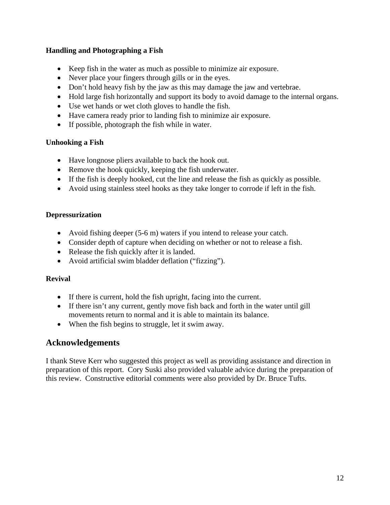# **Handling and Photographing a Fish**

- Keep fish in the water as much as possible to minimize air exposure.
- Never place your fingers through gills or in the eyes.
- Don't hold heavy fish by the jaw as this may damage the jaw and vertebrae.
- Hold large fish horizontally and support its body to avoid damage to the internal organs.
- Use wet hands or wet cloth gloves to handle the fish.
- Have camera ready prior to landing fish to minimize air exposure.
- If possible, photograph the fish while in water.

#### **Unhooking a Fish**

- Have longnose pliers available to back the hook out.
- Remove the hook quickly, keeping the fish underwater.
- If the fish is deeply hooked, cut the line and release the fish as quickly as possible.
- Avoid using stainless steel hooks as they take longer to corrode if left in the fish.

#### **epressurization D**

- Avoid fishing deeper  $(5-6 \text{ m})$  waters if you intend to release your catch.
- Consider depth of capture when deciding on whether or not to release a fish.
- Release the fish quickly after it is landed.
- Avoid artificial swim bladder deflation ("fizzing").

#### **Revival**

- If there is current, hold the fish upright, facing into the current.
- If there isn't any current, gently move fish back and forth in the water until gill movements return to normal and it is able to maintain its balance.
- When the fish begins to struggle, let it swim away.

# Acknowledgements

I thank Steve Kerr who suggested this project as well as providing assistance and direction in preparation of this report. Cory Suski also provided valuable advice during the preparation of this review. Constructive editorial comments were also provided by Dr. Bruce Tufts.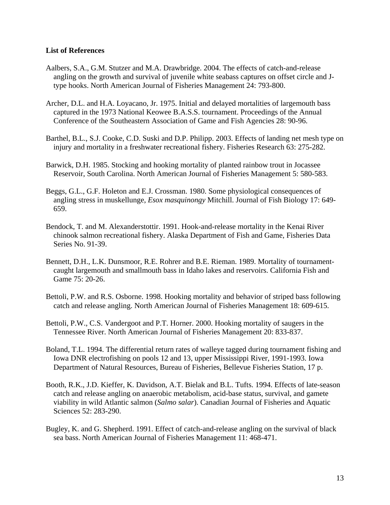#### **List of References**

- Aalbers, S.A., G.M. Stutzer and M.A. Drawbridge. 2004. The effects of catch-and-release angling on the growth and survival of juvenile white seabass captures on offset circle and J type hooks. North American Journal of Fisheries Management 24: 793-800.
- Archer, D.L. and H.A. Loyacano, Jr. 1975. Initial and delayed mortalities of largemouth bass captured in the 1973 National Keowee B.A.S.S. tournament. Proceedings of the Annual Conference of the Southeastern Association of Game and Fish Agencies 28: 90-96.
- Barthel, B.L., S.J. Cooke, C.D. Suski and D.P. Philipp. 2003. Effects of landing net mesh type on injury and mortality in a freshwater recreational fishery. Fisheries Research 63: 275-282.
- Barwick, D.H. 1985. Stocking and hooking mortality of planted rainbow trout in Jocassee Reservoir, South Carolina. North American Journal of Fisheries Management 5: 580-583.
- Beggs, G.L., G.F. Holeton and E.J. Crossman. 1980. Some physiological consequences of angling stress in muskellunge, *Esox masquinongy* Mitchill. Journal of Fish Biology 17: 649- 659.
- Bendock, T. and M. Alexanderstottir. 1991. Hook-and-release mortality in the Kenai River chinook salmon recreational fishery. Alaska Department of Fish and Game, Fisheries Data Series No. 91-39.
- Bennett, D.H., L.K. Dunsmoor, R.E. Rohrer and B.E. Rieman. 1989. Mortality of tournament caught largemouth and smallmouth bass in Idaho lakes and reservoirs. California Fish and Game 75: 20-26.
- Bettoli, P.W. and R.S. Osborne. 1998. Hooking mortality and behavior of striped bass following catch and release angling. North American Journal of Fisheries Management 18: 609-615.
- Bettoli, P.W., C.S. Vandergoot and P.T. Horner. 2000. Hooking mortality of saugers in the Tennessee River. North American Journal of Fisheries Management 20: 833-837.
- Boland, T.L. 1994. The differential return rates of walleye tagged during tournament fishing and Iowa DNR electrofishing on pools 12 and 13, upper Mississippi River, 1991-1993. Iowa Department of Natural Resources, Bureau of Fisheries, Bellevue Fisheries Station, 17 p.
- Booth, R.K., J.D. Kieffer, K. Davidson, A.T. Bielak and B.L. Tufts. 1994. Effects of late-season catch and release angling on anaerobic metabolism, acid-base status, survival, and gamete viability in wild Atlantic salmon (*Salmo salar*). Canadian Journal of Fisheries and Aquatic Sciences 52: 283-290.
- Bugley, K. and G. Shepherd. 1991. Effect of catch-and-release angling on the survival of black sea bass. North American Journal of Fisheries Management 11: 468-471.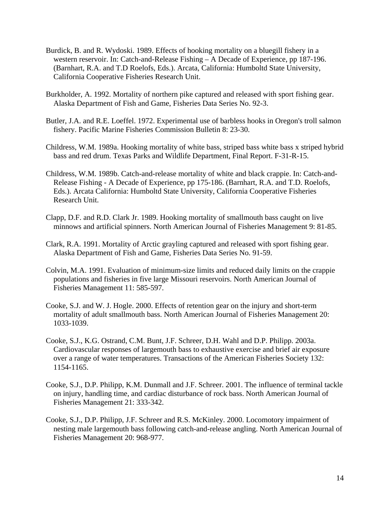- Burdick, B. and R. Wydoski. 1989. Effects of hooking mortality on a bluegill fishery in a western reservoir. In: Catch-and-Release Fishing – A Decade of Experience, pp 187-196. (Barnhart, R.A. and T.D Roelofs, Eds.). Arcata, California: Humboltd State University, California Cooperative Fisheries Research Unit.
- Burkholder, A. 1992. Mortality of northern pike captured and released with sport fishing gear. Alaska Department of Fish and Game, Fisheries Data Series No. 92-3.
- Butler, J.A. and R.E. Loeffel. 1972. Experimental use of barbless hooks in Oregon's troll salmon fishery. Pacific Marine Fisheries Commission Bulletin 8: 23-30.
- Childress, W.M. 1989a. Hooking mortality of white bass, striped bass white bass x striped hybrid bass and red drum. Texas Parks and Wildlife Department, Final Report. F-31-R-15.
- Childress, W.M. 1989b. Catch-and-release mortality of white and black crappie. In: Catch-and- Release Fishing - A Decade of Experience, pp 175-186. (Barnhart, R.A. and T.D. Roelofs, Eds.). Arcata California: Humboltd State University, California Cooperative Fisheries Research Unit.
- Clapp, D.F. and R.D. Clark Jr. 1989. Hooking mortality of smallmouth bass caught on live minnows and artificial spinners. North American Journal of Fisheries Management 9: 81-85.
- Clark, R.A. 1991. Mortality of Arctic grayling captured and released with sport fishing gear. Alaska Department of Fish and Game, Fisheries Data Series No. 91-59.
- Colvin, M.A. 1991. Evaluation of minimum-size limits and reduced daily limits on the crappie populations and fisheries in five large Missouri reservoirs. North American Journal of Fisheries Management 11: 585-597.
- Cooke, S.J. and W. J. Hogle. 2000. Effects of retention gear on the injury and short-term mortality of adult smallmouth bass. North American Journal of Fisheries Management 20: 1033-1039.
- Cooke, S.J., K.G. Ostrand, C.M. Bunt, J.F. Schreer, D.H. Wahl and D.P. Philipp. 2003a. Cardiovascular responses of largemouth bass to exhaustive exercise and brief air exposure over a range of water temperatures. Transactions of the American Fisheries Society 132: 1154-1165.
- Cooke, S.J., D.P. Philipp, K.M. Dunmall and J.F. Schreer. 2001. The influence of terminal tackle on injury, handling time, and cardiac disturbance of rock bass. North American Journal of Fisheries Management 21: 333-342.
- Cooke, S.J., D.P. Philipp, J.F. Schreer and R.S. McKinley. 2000. Locomotory impairment of nesting male largemouth bass following catch-and-release angling. North American Journal of Fisheries Management 20: 968-977.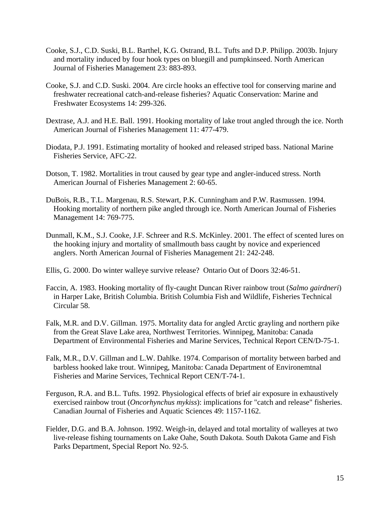- Cooke, S.J., C.D. Suski, B.L. Barthel, K.G. Ostrand, B.L. Tufts and D.P. Philipp. 2003b. Injury and mortality induced by four hook types on bluegill and pumpkinseed. North American Journal of Fisheries Management 23: 883-893.
- Cooke, S.J. and C.D. Suski. 2004. Are circle hooks an effective tool for conserving marine and freshwater recreational catch-and-release fisheries? Aquatic Conservation: Marine and Freshwater Ecosystems 14: 299-326.
- Dextrase, A.J. and H.E. Ball. 1991. Hooking mortality of lake trout angled through the ice. North American Journal of Fisheries Management 11: 477-479.
- Diodata, P.J. 1991. Estimating mortality of hooked and released striped bass. National Marine Fisheries Service, AFC-22.
- Dotson, T. 1982. Mortalities in trout caused by gear type and angler-induced stress. North American Journal of Fisheries Management 2: 60-65.
- DuBois, R.B., T.L. Margenau, R.S. Stewart, P.K. Cunningham and P.W. Rasmussen. 1994. Hooking mortality of northern pike angled through ice. North American Journal of Fisheries Management 14: 769-775.
- Dunmall, K.M., S.J. Cooke, J.F. Schreer and R.S. McKinley. 2001. The effect of scented lures on the hooking injury and mortality of smallmouth bass caught by novice and experienced anglers. North American Journal of Fisheries Management 21: 242-248.
- Ellis, G. 2000. Do winter walleye survive release? Ontario Out of Doors 32:46-51.
- Faccin, A. 1983. Hooking mortality of fly-caught Duncan River rainbow trout (*Salmo gairdneri*) in Harper Lake, British Columbia. British Columbia Fish and Wildlife, Fisheries Technical Circular 58.
- Falk, M.R. and D.V. Gillman. 1975. Mortality data for angled Arctic grayling and northern pike from the Great Slave Lake area, Northwest Territories. Winnipeg, Manitoba: Canada Department of Environmental Fisheries and Marine Services, Technical Report CEN/D-75-1.
- Falk, M.R., D.V. Gillman and L.W. Dahlke. 1974. Comparison of mortality between barbed and barbless hooked lake trout. Winnipeg, Manitoba: Canada Department of Environemtnal Fisheries and Marine Services, Technical Report CEN/T-74-1.
- Ferguson, R.A. and B.L. Tufts. 1992. Physiological effects of brief air exposure in exhaustively exercised rainbow trout (*Oncorhynchus mykiss*): implications for "catch and release" fisheries. Canadian Journal of Fisheries and Aquatic Sciences 49: 1157-1162.
- Fielder, D.G. and B.A. Johnson. 1992. Weigh-in, delayed and total mortality of walleyes at two live-release fishing tournaments on Lake Oahe, South Dakota. South Dakota Game and Fish Parks Department, Special Report No. 92-5.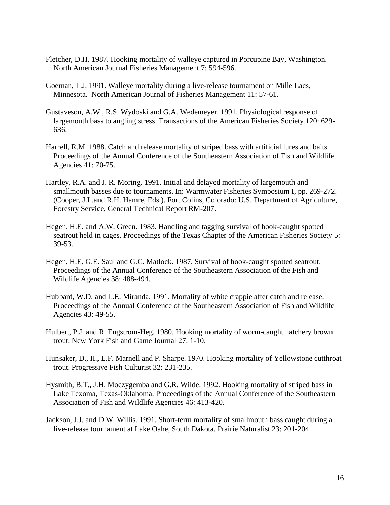- Fletcher, D.H. 1987. Hooking mortality of walleye captured in Porcupine Bay, Washington. North American Journal Fisheries Management 7: 594-596.
- Goeman, T.J. 1991. Walleye mortality during a live-release tournament on Mille Lacs, Minnesota. North American Journal of Fisheries Management 11: 57-61.
- Gustaveson, A.W., R.S. Wydoski and G.A. Wedemeyer. 1991. Physiological response of largemouth bass to angling stress. Transactions of the American Fisheries Society 120: 629- 636.
- Harrell, R.M. 1988. Catch and release mortality of striped bass with artificial lures and baits. Proceedings of the Annual Conference of the Southeastern Association of Fish and Wildlife Agencies 41: 70-75.
- Hartley, R.A. and J. R. Moring. 1991. Initial and delayed mortality of largemouth and smallmouth basses due to tournaments. In: Warmwater Fisheries Symposium I, pp. 269-272. (Cooper, J.L.and R.H. Hamre, Eds.). Fort Colins, Colorado: U.S. Department of Agriculture, Forestry Service, General Technical Report RM-207.
- Hegen, H.E. and A.W. Green. 1983. Handling and tagging survival of hook-caught spotted seatrout held in cages. Proceedings of the Texas Chapter of the American Fisheries Society 5: 39-53.
- Hegen, H.E. G.E. Saul and G.C. Matlock. 1987. Survival of hook-caught spotted seatrout. Proceedings of the Annual Conference of the Southeastern Association of the Fish and Wildlife Agencies 38: 488-494.
- Hubbard, W.D. and L.E. Miranda. 1991. Mortality of white crappie after catch and release. Proceedings of the Annual Conference of the Southeastern Association of Fish and Wildlife Agencies 43: 49-55.
- Hulbert, P.J. and R. Engstrom-Heg. 1980. Hooking mortality of worm-caught hatchery brown trout. New York Fish and Game Journal 27: 1-10.
- Hunsaker, D., II., L.F. Marnell and P. Sharpe. 1970. Hooking mortality of Yellowstone cutthroat trout. Progressive Fish Culturist 32: 231-235.
- Hysmith, B.T., J.H. Moczygemba and G.R. Wilde. 1992. Hooking mortality of striped bass in Lake Texoma, Texas-Oklahoma. Proceedings of the Annual Conference of the Southeastern Association of Fish and Wildlife Agencies 46: 413-420.
- Jackson, J.J. and D.W. Willis. 1991. Short-term mortality of smallmouth bass caught during a live-release tournament at Lake Oahe, South Dakota. Prairie Naturalist 23: 201-204.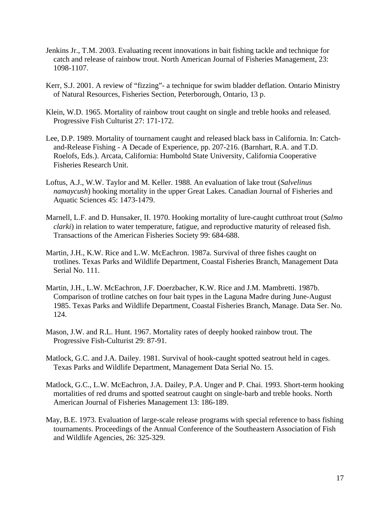- Jenkins Jr., T.M. 2003. Evaluating recent innovations in bait fishing tackle and technique for catch and release of rainbow trout. North American Journal of Fisheries Management, 23: 1098-1107.
- Kerr, S.J. 2001. A review of "fizzing"- a technique for swim bladder deflation. Ontario Ministry of Natural Resources, Fisheries Section, Peterborough, Ontario, 13 p.
- Klein, W.D. 1965. Mortality of rainbow trout caught on single and treble hooks and released. Progressive Fish Culturist 27: 171-172.
- Lee, D.P. 1989. Mortality of tournament caught and released black bass in California. In: Catch and-Release Fishing - A Decade of Experience, pp. 207-216. (Barnhart, R.A. and T.D. Roelofs, Eds.). Arcata, California: Humboltd State University, California Cooperative Fisheries Research Unit.
- Loftus, A.J., W.W. Taylor and M. Keller. 1988. An evaluation of lake trout (*Salvelinus namaycush*) hooking mortality in the upper Great Lakes. Canadian Journal of Fisheries and Aquatic Sciences 45: 1473-1479.
- Marnell, L.F. and D. Hunsaker, II. 1970. Hooking mortality of lure-caught cutthroat trout (*Salmo clarki*) in relation to water temperature, fatigue, and reproductive maturity of released fish. Transactions of the American Fisheries Society 99: 684-688.
- Martin, J.H., K.W. Rice and L.W. McEachron. 1987a. Survival of three fishes caught on trotlines. Texas Parks and Wildlife Department, Coastal Fisheries Branch, Management Data Serial No. 111.
- Martin, J.H., L.W. McEachron, J.F. Doerzbacher, K.W. Rice and J.M. Mambretti. 1987b. Comparison of trotline catches on four bait types in the Laguna Madre during June-August 1985. Texas Parks and Wildlife Department, Coastal Fisheries Branch, Manage. Data Ser. No. 124.
- Mason, J.W. and R.L. Hunt. 1967. Mortality rates of deeply hooked rainbow trout. The Progressive Fish-Culturist 29: 87-91.
- Matlock, G.C. and J.A. Dailey. 1981. Survival of hook-caught spotted seatrout held in cages. Texas Parks and Wildlife Department, Management Data Serial No. 15.
- Matlock, G.C., L.W. McEachron, J.A. Dailey, P.A. Unger and P. Chai. 1993. Short-term hooking mortalities of red drums and spotted seatrout caught on single-barb and treble hooks. North American Journal of Fisheries Management 13: 186-189.
- May, B.E. 1973. Evaluation of large-scale release programs with special reference to bass fishing tournaments. Proceedings of the Annual Conference of the Southeastern Association of Fish and Wildlife Agencies, 26: 325-329.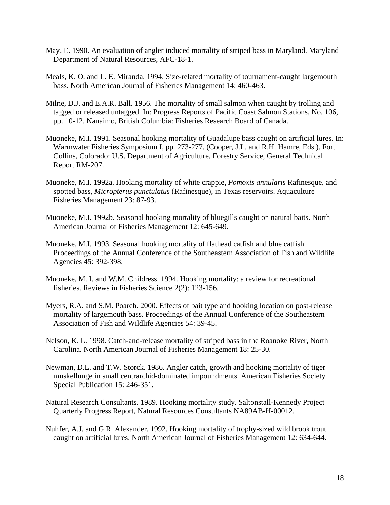- May, E. 1990. An evaluation of angler induced mortality of striped bass in Maryland. Maryland Department of Natural Resources, AFC-18-1.
- Meals, K. O. and L. E. Miranda. 1994. Size-related mortality of tournament-caught largemouth bass. North American Journal of Fisheries Management 14: 460-463.
- Milne, D.J. and E.A.R. Ball. 1956. The mortality of small salmon when caught by trolling and tagged or released untagged. In: Progress Reports of Pacific Coast Salmon Stations, No. 106, pp. 10-12. Nanaimo, British Columbia: Fisheries Research Board of Canada.
- Muoneke, M.I. 1991. Seasonal hooking mortality of Guadalupe bass caught on artificial lures. In: Warmwater Fisheries Symposium I, pp. 273-277. (Cooper, J.L. and R.H. Hamre, Eds.). Fort Collins, Colorado: U.S. Department of Agriculture, Forestry Service, General Technical Report RM-207.
- Muoneke, M.I. 1992a. Hooking mortality of white crappie, *Pomoxis annularis* Rafinesque, and spotted bass, *Micropterus punctulatus* (Rafinesque), in Texas reservoirs. Aquaculture Fisheries Management 23: 87-93.
- Muoneke, M.I. 1992b. Seasonal hooking mortality of bluegills caught on natural baits. North American Journal of Fisheries Management 12: 645-649.
- Muoneke, M.I. 1993. Seasonal hooking mortality of flathead catfish and blue catfish. Proceedings of the Annual Conference of the Southeastern Association of Fish and Wildlife Agencies 45: 392-398.
- Muoneke, M. I. and W.M. Childress. 1994. Hooking mortality: a review for recreational fisheries. Reviews in Fisheries Science 2(2): 123-156.
- Myers, R.A. and S.M. Poarch. 2000. Effects of bait type and hooking location on post-release mortality of largemouth bass. Proceedings of the Annual Conference of the Southeastern Association of Fish and Wildlife Agencies 54: 39-45.
- Nelson, K. L. 1998. Catch-and-release mortality of striped bass in the Roanoke River, North Carolina. North American Journal of Fisheries Management 18: 25-30.
- Newman, D.L. and T.W. Storck. 1986. Angler catch, growth and hooking mortality of tiger muskellunge in small centrarchid-dominated impoundments. American Fisheries Society Special Publication 15: 246-351.
- Natural Research Consultants. 1989. Hooking mortality study. Saltonstall-Kennedy Project Quarterly Progress Report, Natural Resources Consultants NA89AB-H-00012.
- Nuhfer, A.J. and G.R. Alexander. 1992. Hooking mortality of trophy-sized wild brook trout caught on artificial lures. North American Journal of Fisheries Management 12: 634-644.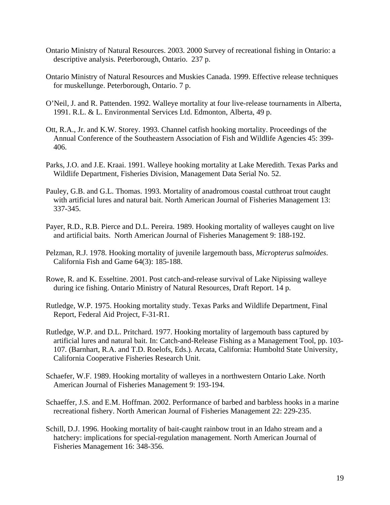- Ontario Ministry of Natural Resources. 2003. 2000 Survey of recreational fishing in Ontario: a descriptive analysis. Peterborough, Ontario. 237 p.
- Ontario Ministry of Natural Resources and Muskies Canada. 1999. Effective release techniques for muskellunge. Peterborough, Ontario. 7 p.
- O'Neil, J. and R. Pattenden. 1992. Walleye mortality at four live-release tournaments in Alberta, 1991. R.L. & L. Environmental Services Ltd. Edmonton, Alberta, 49 p.
- Ott, R.A., Jr. and K.W. Storey. 1993. Channel catfish hooking mortality. Proceedings of the Annual Conference of the Southeastern Association of Fish and Wildlife Agencies 45: 399- 406.
- Parks, J.O. and J.E. Kraai. 1991. Walleye hooking mortality at Lake Meredith. Texas Parks and Wildlife Department, Fisheries Division, Management Data Serial No. 52.
- Pauley, G.B. and G.L. Thomas. 1993. Mortality of anadromous coastal cutthroat trout caught with artificial lures and natural bait. North American Journal of Fisheries Management 13: 337-345.
- Payer, R.D., R.B. Pierce and D.L. Pereira. 1989. Hooking mortality of walleyes caught on live and artificial baits. North American Journal of Fisheries Management 9: 188-192.
- Pelzman, R.J. 1978. Hooking mortality of juvenile largemouth bass, *Micropterus salmoides*. California Fish and Game 64(3): 185-188.
- Rowe, R. and K. Esseltine. 2001. Post catch-and-release survival of Lake Nipissing walleye during ice fishing. Ontario Ministry of Natural Resources, Draft Report. 14 p.
- Rutledge, W.P. 1975. Hooking mortality study. Texas Parks and Wildlife Department, Final Report, Federal Aid Project, F-31-R1.
- Rutledge, W.P. and D.L. Pritchard. 1977. Hooking mortality of largemouth bass captured by artificial lures and natural bait. In: Catch-and-Release Fishing as a Management Tool, pp. 103- 107. (Barnhart, R.A. and T.D. Roelofs, Eds.). Arcata, California: Humboltd State University, California Cooperative Fisheries Research Unit.
- Schaefer, W.F. 1989. Hooking mortality of walleyes in a northwestern Ontario Lake. North American Journal of Fisheries Management 9: 193-194.
- Schaeffer, J.S. and E.M. Hoffman. 2002. Performance of barbed and barbless hooks in a marine recreational fishery. North American Journal of Fisheries Management 22: 229-235.
- Schill, D.J. 1996. Hooking mortality of bait-caught rainbow trout in an Idaho stream and a hatchery: implications for special-regulation management. North American Journal of Fisheries Management 16: 348-356.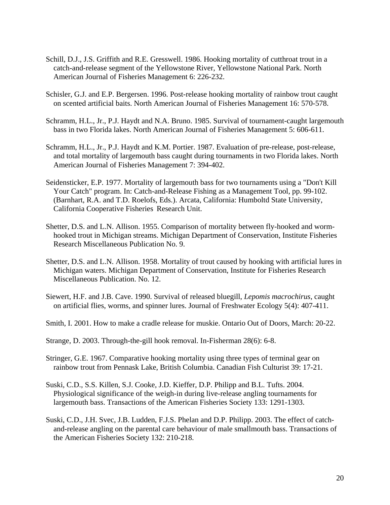- Schill, D.J., J.S. Griffith and R.E. Gresswell. 1986. Hooking mortality of cutthroat trout in a catch-and-release segment of the Yellowstone River, Yellowstone National Park. North American Journal of Fisheries Management 6: 226-232.
- Schisler, G.J. and E.P. Bergersen. 1996. Post-release hooking mortality of rainbow trout caught on scented artificial baits. North American Journal of Fisheries Management 16: 570-578.
- Schramm, H.L., Jr., P.J. Haydt and N.A. Bruno. 1985. Survival of tournament-caught largemouth bass in two Florida lakes. North American Journal of Fisheries Management 5: 606-611.
- Schramm, H.L., Jr., P.J. Haydt and K.M. Portier. 1987. Evaluation of pre-release, post-release, and total mortality of largemouth bass caught during tournaments in two Florida lakes. North American Journal of Fisheries Management 7: 394-402.
- Seidensticker, E.P. 1977. Mortality of largemouth bass for two tournaments using a "Don't Kill Your Catch" program. In: Catch-and-Release Fishing as a Management Tool, pp. 99-102. (Barnhart, R.A. and T.D. Roelofs, Eds.). Arcata, California: Humboltd State University, California Cooperative Fisheries Research Unit.
- Shetter, D.S. and L.N. Allison. 1955. Comparison of mortality between fly-hooked and worm hooked trout in Michigan streams. Michigan Department of Conservation, Institute Fisheries Research Miscellaneous Publication No. 9.
- Shetter, D.S. and L.N. Allison. 1958. Mortality of trout caused by hooking with artificial lures in Michigan waters. Michigan Department of Conservation, Institute for Fisheries Research Miscellaneous Publication. No. 12.
- Siewert, H.F. and J.B. Cave. 1990. Survival of released bluegill, *Lepomis macrochirus*, caught on artificial flies, worms, and spinner lures. Journal of Freshwater Ecology 5(4): 407-411.
- Smith, I. 2001. How to make a cradle release for muskie. Ontario Out of Doors, March: 20-22.
- Strange, D. 2003. Through-the-gill hook removal. In-Fisherman 28(6): 6-8.
- Stringer, G.E. 1967. Comparative hooking mortality using three types of terminal gear on rainbow trout from Pennask Lake, British Columbia. Canadian Fish Culturist 39: 17-21.
- Suski, C.D., S.S. Killen, S.J. Cooke, J.D. Kieffer, D.P. Philipp and B.L. Tufts. 2004. Physiological significance of the weigh-in during live-release angling tournaments for largemouth bass. Transactions of the American Fisheries Society 133: 1291-1303.
- Suski, C.D., J.H. Svec, J.B. Ludden, F.J.S. Phelan and D.P. Philipp. 2003. The effect of catch and-release angling on the parental care behaviour of male smallmouth bass. Transactions of the American Fisheries Society 132: 210-218.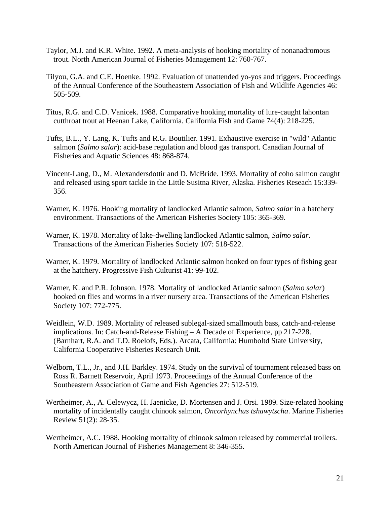- Taylor, M.J. and K.R. White. 1992. A meta-analysis of hooking mortality of nonanadromous trout. North American Journal of Fisheries Management 12: 760-767.
- Tilyou, G.A. and C.E. Hoenke. 1992. Evaluation of unattended yo-yos and triggers. Proceedings of the Annual Conference of the Southeastern Association of Fish and Wildlife Agencies 46: 505-509.
- Titus, R.G. and C.D. Vanicek. 1988. Comparative hooking mortality of lure-caught lahontan cutthroat trout at Heenan Lake, California. California Fish and Game 74(4): 218-225.
- Tufts, B.L., Y. Lang, K. Tufts and R.G. Boutilier. 1991. Exhaustive exercise in "wild" Atlantic salmon (*Salmo salar*): acid-base regulation and blood gas transport. Canadian Journal of Fisheries and Aquatic Sciences 48: 868-874.
- Vincent-Lang, D., M. Alexandersdottir and D. McBride. 1993. Mortality of coho salmon caught and released using sport tackle in the Little Susitna River, Alaska. Fisheries Reseach 15:339- 356.
- Warner, K. 1976. Hooking mortality of landlocked Atlantic salmon, *Salmo salar* in a hatchery environment. Transactions of the American Fisheries Society 105: 365-369.
- Warner, K. 1978. Mortality of lake-dwelling landlocked Atlantic salmon, *Salmo salar*. Transactions of the American Fisheries Society 107: 518-522.
- Warner, K. 1979. Mortality of landlocked Atlantic salmon hooked on four types of fishing gear at the hatchery. Progressive Fish Culturist 41: 99-102.
- Warner, K. and P.R. Johnson. 1978. Mortality of landlocked Atlantic salmon (*Salmo salar*) hooked on flies and worms in a river nursery area. Transactions of the American Fisheries Society 107: 772-775.
- Weidlein, W.D. 1989. Mortality of released sublegal-sized smallmouth bass, catch-and-release implications. In: Catch-and-Release Fishing – A Decade of Experience, pp 217-228. (Barnhart, R.A. and T.D. Roelofs, Eds.). Arcata, California: Humboltd State University, California Cooperative Fisheries Research Unit.
- Welborn, T.L., Jr., and J.H. Barkley. 1974. Study on the survival of tournament released bass on Ross R. Barnett Reservoir, April 1973. Proceedings of the Annual Conference of the Southeastern Association of Game and Fish Agencies 27: 512-519.
- Wertheimer, A., A. Celewycz, H. Jaenicke, D. Mortensen and J. Orsi. 1989. Size-related hooking mortality of incidentally caught chinook salmon, *Oncorhynchus tshawytscha*. Marine Fisheries Review 51(2): 28-35.
- Wertheimer, A.C. 1988. Hooking mortality of chinook salmon released by commercial trollers. North American Journal of Fisheries Management 8: 346-355.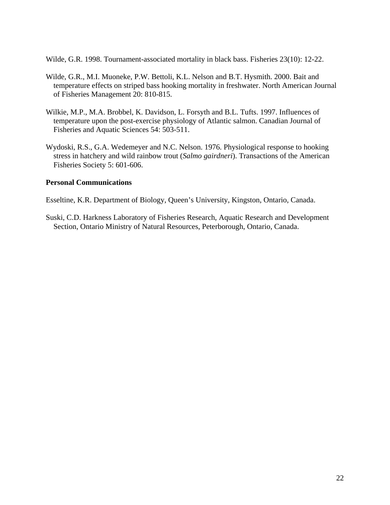Wilde, G.R. 1998. Tournament-associated mortality in black bass. Fisheries 23(10): 12-22.

- Wilde, G.R., M.I. Muoneke, P.W. Bettoli, K.L. Nelson and B.T. Hysmith. 2000. Bait and temperature effects on striped bass hooking mortality in freshwater. North American Journal of Fisheries Management 20: 810-815.
- Wilkie, M.P., M.A. Brobbel, K. Davidson, L. Forsyth and B.L. Tufts. 1997. Influences of temperature upon the post-exercise physiology of Atlantic salmon. Canadian Journal of Fisheries and Aquatic Sciences 54: 503-511.
- Wydoski, R.S., G.A. Wedemeyer and N.C. Nelson. 1976. Physiological response to hooking stress in hatchery and wild rainbow trout (*Salmo gairdneri*). Transactions of the American Fisheries Society 5: 601-606.

#### **Personal Communications**

Esseltine, K.R. Department of Biology, Queen's University, Kingston, Ontario, Canada.

Suski, C.D. Harkness Laboratory of Fisheries Research, Aquatic Research and Development Section, Ontario Ministry of Natural Resources, Peterborough, Ontario, Canada.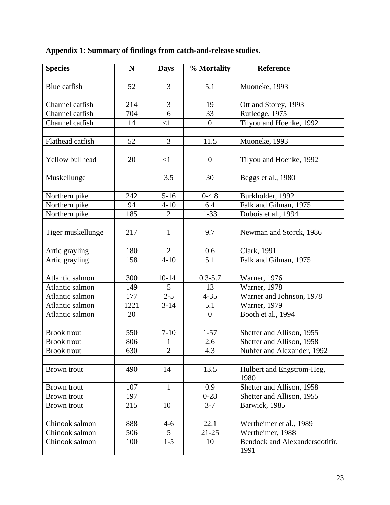| <b>Species</b>     | $\mathbf N$ | <b>Days</b>    | % Mortality    | Reference                      |
|--------------------|-------------|----------------|----------------|--------------------------------|
|                    |             |                |                |                                |
| Blue catfish       | 52          | 3              | 5.1            | Muoneke, 1993                  |
|                    |             |                |                |                                |
| Channel catfish    | 214         | 3              | 19             | Ott and Storey, 1993           |
| Channel catfish    | 704         | 6              | 33             | Rutledge, 1975                 |
| Channel catfish    | 14          | $\leq$ 1       | $\overline{0}$ | Tilyou and Hoenke, 1992        |
|                    |             |                |                |                                |
| Flathead catfish   | 52          | 3              | 11.5           | Muoneke, 1993                  |
|                    |             |                |                |                                |
| Yellow bullhead    | 20          | $\leq$ 1       | $\overline{0}$ | Tilyou and Hoenke, 1992        |
|                    |             |                |                |                                |
| Muskellunge        |             | 3.5            | 30             | Beggs et al., 1980             |
|                    |             |                |                |                                |
| Northern pike      | 242         | $5-16$         | $0-4.8$        | Burkholder, 1992               |
| Northern pike      | 94          | $4 - 10$       | 6.4            | Falk and Gilman, 1975          |
| Northern pike      | 185         | $\overline{2}$ | $1 - 33$       | Dubois et al., 1994            |
|                    |             |                |                |                                |
| Tiger muskellunge  | 217         | $\mathbf{1}$   | 9.7            | Newman and Storck, 1986        |
|                    |             |                |                |                                |
| Artic grayling     | 180         | $\overline{2}$ | 0.6            | Clark, 1991                    |
| Artic grayling     | 158         | $4 - 10$       | 5.1            | Falk and Gilman, 1975          |
|                    |             |                |                |                                |
| Atlantic salmon    | 300         | $10 - 14$      | $0.3 - 5.7$    | Warner, 1976                   |
| Atlantic salmon    | 149         | 5              | 13             | Warner, 1978                   |
| Atlantic salmon    | 177         | $2 - 5$        | $4 - 35$       | Warner and Johnson, 1978       |
| Atlantic salmon    | 1221        | $3 - 14$       | 5.1            | Warner, 1979                   |
| Atlantic salmon    | 20          |                | $\overline{0}$ | Booth et al., 1994             |
|                    |             |                |                |                                |
| <b>Brook</b> trout | 550         | $7 - 10$       | $1 - 57$       | Shetter and Allison, 1955      |
| <b>Brook</b> trout | 806         | $\mathbf{1}$   | 2.6            | Shetter and Allison, 1958      |
| <b>Brook</b> trout | 630         | $\overline{2}$ | 4.3            | Nuhfer and Alexander, 1992     |
|                    |             |                |                |                                |
| Brown trout        | 490         | 14             | 13.5           | Hulbert and Engstrom-Heg,      |
|                    |             |                |                | 1980                           |
| Brown trout        | 107         | $\mathbf{1}$   | 0.9            | Shetter and Allison, 1958      |
| <b>Brown</b> trout | 197         |                | $0 - 28$       | Shetter and Allison, 1955      |
| Brown trout        | 215         | 10             | $3 - 7$        | Barwick, 1985                  |
|                    |             |                |                |                                |
| Chinook salmon     | 888         | $4 - 6$        | 22.1           | Wertheimer et al., 1989        |
| Chinook salmon     | 506         | 5              | $21 - 25$      | Wertheimer, 1988               |
| Chinook salmon     | 100         | $1 - 5$        | 10             | Bendock and Alexandersdotitir, |
|                    |             |                |                | 1991                           |

# **Appendix 1: Summary of findings from catch-and-release studies.**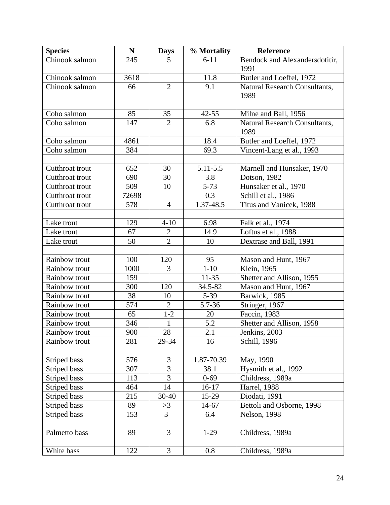| <b>Species</b>  | $\mathbf N$ | <b>Days</b>    | % Mortality | <b>Reference</b>               |
|-----------------|-------------|----------------|-------------|--------------------------------|
| Chinook salmon  | 245         | 5 <sup>5</sup> | $6 - 11$    | Bendock and Alexandersdotitir, |
|                 |             |                |             | 1991                           |
| Chinook salmon  | 3618        |                | 11.8        | Butler and Loeffel, 1972       |
| Chinook salmon  | 66          | $\overline{2}$ | 9.1         | Natural Research Consultants,  |
|                 |             |                |             | 1989                           |
|                 |             |                |             |                                |
| Coho salmon     | 85          | 35             | $42 - 55$   | Milne and Ball, 1956           |
| Coho salmon     | 147         | $\overline{2}$ | 6.8         | Natural Research Consultants,  |
|                 |             |                |             | 1989                           |
| Coho salmon     | 4861        |                | 18.4        | Butler and Loeffel, 1972       |
| Coho salmon     | 384         |                | 69.3        | Vincent-Lang et al., 1993      |
|                 |             |                |             |                                |
| Cutthroat trout | 652         | 30             | 5.11-5.5    | Marnell and Hunsaker, 1970     |
| Cutthroat trout | 690         | 30             | 3.8         | Dotson, 1982                   |
| Cutthroat trout | 509         | 10             | $5 - 73$    | Hunsaker et al., 1970          |
| Cutthroat trout | 72698       |                | 0.3         | Schill et al., 1986            |
| Cutthroat trout | 578         | $\overline{4}$ | 1.37-48.5   | Titus and Vanicek, 1988        |
|                 |             |                |             |                                |
| Lake trout      | 129         | $4 - 10$       | 6.98        | Falk et al., 1974              |
| Lake trout      | 67          | $\overline{2}$ | 14.9        | Loftus et al., 1988            |
| Lake trout      | 50          | $\overline{2}$ | 10          | Dextrase and Ball, 1991        |
|                 |             |                |             |                                |
| Rainbow trout   | 100         | 120            | 95          | Mason and Hunt, 1967           |
| Rainbow trout   | 1000        | 3              | $1 - 10$    | Klein, 1965                    |
| Rainbow trout   | 159         |                | $11 - 35$   | Shetter and Allison, 1955      |
| Rainbow trout   | 300         | 120            | 34.5-82     | Mason and Hunt, 1967           |
| Rainbow trout   | 38          | 10             | $5-39$      | Barwick, 1985                  |
| Rainbow trout   | 574         | $\overline{2}$ | 5.7-36      | Stringer, 1967                 |
| Rainbow trout   | 65          | $1 - 2$        | 20          | Faccin, 1983                   |
| Rainbow trout   | 346         | $\mathbf{1}$   | 5.2         | Shetter and Allison, 1958      |
| Rainbow trout   | 900         | $28\,$         | 2.1         | Jenkins, 2003                  |
| Rainbow trout   | 281         | 29-34          | 16          | Schill, 1996                   |
|                 |             |                |             |                                |
| Striped bass    | 576         | 3              | 1.87-70.39  | May, 1990                      |
| Striped bass    | 307         | 3              | 38.1        | Hysmith et al., 1992           |
| Striped bass    | 113         | 3              | $0 - 69$    | Childress, 1989a               |
| Striped bass    | 464         | 14             | $16-17$     | <b>Harrel</b> , 1988           |
| Striped bass    | 215         | 30-40          | 15-29       | Diodati, 1991                  |
| Striped bass    | 89          | >3             | 14-67       | Bettoli and Osborne, 1998      |
| Striped bass    | 153         | 3              | 6.4         | <b>Nelson</b> , 1998           |
|                 |             |                |             |                                |
| Palmetto bass   | 89          | 3              | $1-29$      | Childress, 1989a               |
|                 |             |                |             |                                |
| White bass      | 122         | 3              | 0.8         | Childress, 1989a               |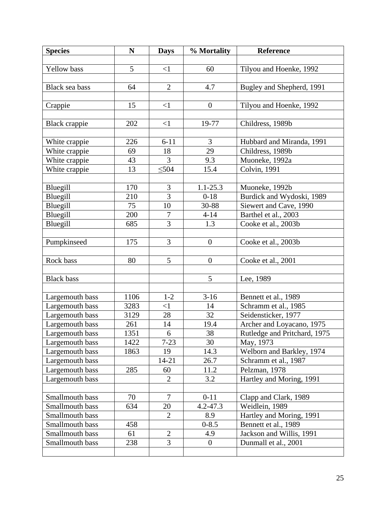| <b>Species</b>                 | $\mathbf N$ | <b>Days</b>    | % Mortality      | Reference                                     |
|--------------------------------|-------------|----------------|------------------|-----------------------------------------------|
|                                |             |                |                  |                                               |
| Yellow bass                    | 5           | $<$ 1          | 60               | Tilyou and Hoenke, 1992                       |
|                                |             |                |                  |                                               |
| Black sea bass                 | 64          | $\overline{2}$ | 4.7              | Bugley and Shepherd, 1991                     |
|                                |             |                |                  |                                               |
| Crappie                        | 15          | $<$ 1          | $\boldsymbol{0}$ | Tilyou and Hoenke, 1992                       |
|                                |             |                |                  |                                               |
| Black crappie                  | 202         | $<$ 1          | 19-77            | Childress, 1989b                              |
|                                | 226         | $6 - 11$       | 3                |                                               |
| White crappie<br>White crappie | 69          | 18             | 29               | Hubbard and Miranda, 1991<br>Childress, 1989b |
| White crappie                  | 43          | 3              | 9.3              | Muoneke, 1992a                                |
| White crappie                  | 13          | $\leq 504$     | 15.4             | Colvin, 1991                                  |
|                                |             |                |                  |                                               |
| Bluegill                       | 170         | 3              | $1.1 - 25.3$     | Muoneke, 1992b                                |
| Bluegill                       | 210         | 3              | $0-18$           | Burdick and Wydoski, 1989                     |
| Bluegill                       | 75          | 10             | 30-88            | Siewert and Cave, 1990                        |
| Bluegill                       | 200         | $\overline{7}$ | $4 - 14$         | Barthel et al., 2003                          |
| Bluegill                       | 685         | 3              | 1.3              | Cooke et al., 2003b                           |
|                                |             |                |                  |                                               |
| Pumpkinseed                    | 175         | 3              | $\overline{0}$   | Cooke et al., 2003b                           |
|                                |             |                |                  |                                               |
| Rock bass                      | 80          | 5              | $\boldsymbol{0}$ | Cooke et al., 2001                            |
|                                |             |                |                  |                                               |
| <b>Black</b> bass              |             |                | 5                | Lee, 1989                                     |
|                                |             |                |                  |                                               |
| Largemouth bass                | 1106        | $1 - 2$        | $3-16$           | Bennett et al., 1989                          |
| Largemouth bass                | 3283        | $\leq$ 1       | 14               | Schramm et al., 1985                          |
| Largemouth bass                | 3129        | 28             | 32               | Seidensticker, 1977                           |
| Largemouth bass                | 261         | 14             | 19.4             | Archer and Loyacano, 1975                     |
| Largemouth bass                | 1351        | 6              | 38               | Rutledge and Pritchard, 1975                  |
| Largemouth bass                | 1422        | $7 - 23$       | 30               | May, 1973                                     |
| Largemouth bass                | 1863        | 19             | 14.3             | Welborn and Barkley, 1974                     |
| Largemouth bass                |             | 14-21          | 26.7             | Schramm et al., 1987                          |
| Largemouth bass                | 285         | 60             | 11.2             | Pelzman, 1978                                 |
| Largemouth bass                |             | $\overline{2}$ | 3.2              | Hartley and Moring, 1991                      |
| Smallmouth bass                | 70          | $\overline{7}$ | $0 - 11$         |                                               |
| Smallmouth bass                | 634         | 20             | $4.2 - 47.3$     | Clapp and Clark, 1989<br>Weidlein, 1989       |
| Smallmouth bass                |             | $\overline{2}$ | 8.9              | Hartley and Moring, 1991                      |
| Smallmouth bass                | 458         |                | $0 - 8.5$        | Bennett et al., 1989                          |
| Smallmouth bass                | 61          | $\overline{2}$ | 4.9              | Jackson and Willis, 1991                      |
| Smallmouth bass                | 238         | 3              | $\Omega$         | Dunmall et al., 2001                          |
|                                |             |                |                  |                                               |
|                                |             |                |                  |                                               |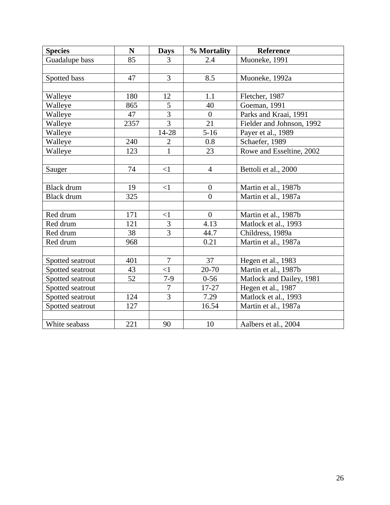| <b>Species</b>    | ${\bf N}$ | <b>Days</b>    | % Mortality    | Reference                 |
|-------------------|-----------|----------------|----------------|---------------------------|
| Guadalupe bass    | 85        | 3              | 2.4            | Muoneke, 1991             |
|                   |           |                |                |                           |
| Spotted bass      | 47        | $\overline{3}$ | 8.5            | Muoneke, 1992a            |
|                   |           |                |                |                           |
| Walleye           | 180       | 12             | 1.1            | Fletcher, 1987            |
| Walleye           | 865       | 5              | 40             | Goeman, 1991              |
| Walleye           | 47        | $\overline{3}$ | $\overline{0}$ | Parks and Kraai, 1991     |
| Walleye           | 2357      | $\overline{3}$ | 21             | Fielder and Johnson, 1992 |
| Walleye           |           | 14-28          | $5 - 16$       | Payer et al., 1989        |
| Walleye           | 240       | $\overline{2}$ | 0.8            | Schaefer, 1989            |
| Walleye           | 123       | $\mathbf{1}$   | 23             | Rowe and Esseltine, 2002  |
|                   |           |                |                |                           |
| Sauger            | 74        | <1             | $\overline{4}$ | Bettoli et al., 2000      |
|                   |           |                |                |                           |
| <b>Black</b> drum | 19        | <1             | $\overline{0}$ | Martin et al., 1987b      |
| <b>Black</b> drum | 325       |                | $\overline{0}$ | Martin et al., 1987a      |
|                   |           |                |                |                           |
| Red drum          | 171       | $\leq$ 1       | $\overline{0}$ | Martin et al., 1987b      |
| Red drum          | 121       | 3              | 4.13           | Matlock et al., 1993      |
| Red drum          | 38        | $\overline{3}$ | 44.7           | Childress, 1989a          |
| Red drum          | 968       |                | 0.21           | Martin et al., 1987a      |
|                   |           |                |                |                           |
| Spotted seatrout  | 401       | $\overline{7}$ | 37             | Hegen et al., 1983        |
| Spotted seatrout  | 43        | $\leq$ 1       | 20-70          | Martin et al., 1987b      |
| Spotted seatrout  | 52        | $7-9$          | $0 - 56$       | Matlock and Dailey, 1981  |
| Spotted seatrout  |           | $\overline{7}$ | 17-27          | Hegen et al., 1987        |
| Spotted seatrout  | 124       | 3              | 7.29           | Matlock et al., 1993      |
| Spotted seatrout  | 127       |                | 16.54          | Martin et al., 1987a      |
|                   |           |                |                |                           |
| White seabass     | 221       | 90             | 10             | Aalbers et al., 2004      |